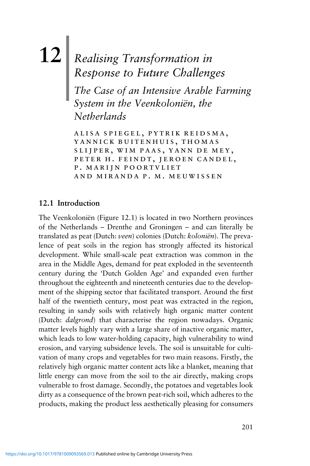# **12**| *Realising Transformation in Response to Future Challenges*

*The Case of an Intensive Arable Farming System in the Veenkoloniën, the Netherlands*

alisa spiegel, pytrik reidsma, yannick buitenhuis, thomas slijper, wim paas, yann de mey, peter h. feindt, jeroen candel, p. marijn poortvliet and miranda p. m. meuwissen

# **12.1 Introduction**

The Veenkoloniën (Figure 12.1) is located in two Northern provinces of the Netherlands – Drenthe and Groningen – and can literally be translated as peat (Dutch: *veen*) colonies (Dutch: *koloniën*). The prevalence of peat soils in the region has strongly affected its historical development. While small-scale peat extraction was common in the area in the Middle Ages, demand for peat exploded in the seventeenth century during the 'Dutch Golden Age' and expanded even further throughout the eighteenth and nineteenth centuries due to the development of the shipping sector that facilitated transport. Around the first half of the twentieth century, most peat was extracted in the region, resulting in sandy soils with relatively high organic matter content (Dutch: *dalgrond*) that characterise the region nowadays. Organic matter levels highly vary with a large share of inactive organic matter, which leads to low water-holding capacity, high vulnerability to wind erosion, and varying subsidence levels. The soil is unsuitable for cultivation of many crops and vegetables for two main reasons. Firstly, the relatively high organic matter content acts like a blanket, meaning that little energy can move from the soil to the air directly, making crops vulnerable to frost damage. Secondly, the potatoes and vegetables look dirty as a consequence of the brown peat-rich soil, which adheres to the products, making the product less aesthetically pleasing for consumers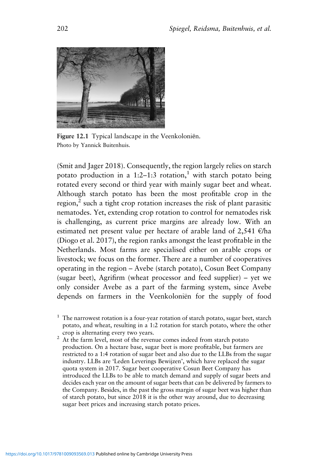

**Figure 12.1** Typical landscape in the Veenkoloniёn. Photo by Yannick Buitenhuis.

(Smit and Jager 2018). Consequently, the region largely relies on starch potato production in a 1:2–1:3 rotation,<sup>1</sup> with starch potato being rotated every second or third year with mainly sugar beet and wheat. Although starch potato has been the most profitable crop in the region, $<sup>2</sup>$  such a tight crop rotation increases the risk of plant parasitic</sup> nematodes. Yet, extending crop rotation to control for nematodes risk is challenging, as current price margins are already low. With an estimated net present value per hectare of arable land of 2,541 €/ha (Diogo et al. 2017), the region ranks amongst the least profitable in the Netherlands. Most farms are specialised either on arable crops or livestock; we focus on the former. There are a number of cooperatives operating in the region – Avebe (starch potato), Cosun Beet Company (sugar beet), Agrifirm (wheat processor and feed supplier) – yet we only consider Avebe as a part of the farming system, since Avebe depends on farmers in the Veenkoloniën for the supply of food

 $1$  The narrowest rotation is a four-year rotation of starch potato, sugar beet, starch potato, and wheat, resulting in a 1:2 rotation for starch potato, where the other

crop is alternating every two years.<br><sup>2</sup> At the farm level, most of the revenue comes indeed from starch potato production. On a hectare base, sugar beet is more profitable, but farmers are restricted to a 1:4 rotation of sugar beet and also due to the LLBs from the sugar industry. LLBs are 'Leden Leverings Bewijzen', which have replaced the sugar quota system in 2017. Sugar beet cooperative Cosun Beet Company has introduced the LLBs to be able to match demand and supply of sugar beets and decides each year on the amount of sugar beets that can be delivered by farmers to the Company. Besides, in the past the gross margin of sugar beet was higher than of starch potato, but since 2018 it is the other way around, due to decreasing sugar beet prices and increasing starch potato prices.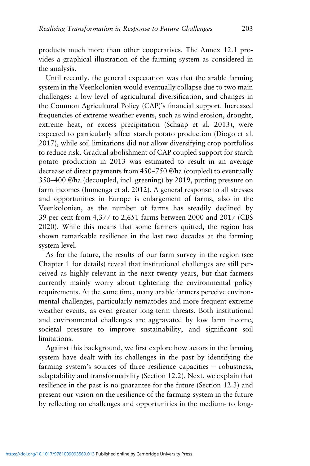products much more than other cooperatives. The Annex 12.1 provides a graphical illustration of the farming system as considered in the analysis.

Until recently, the general expectation was that the arable farming system in the Veenkoloniën would eventually collapse due to two main challenges: a low level of agricultural diversification, and changes in the Common Agricultural Policy (CAP)'s financial support. Increased frequencies of extreme weather events, such as wind erosion, drought, extreme heat, or excess precipitation (Schaap et al. 2013), were expected to particularly affect starch potato production (Diogo et al. 2017), while soil limitations did not allow diversifying crop portfolios to reduce risk. Gradual abolishment of CAP coupled support for starch potato production in 2013 was estimated to result in an average decrease of direct payments from  $450-750$   $\epsilon$ /ha (coupled) to eventually 350–400 €/ha (decoupled, incl. greening) by 2019, putting pressure on farm incomes (Immenga et al. 2012). A general response to all stresses and opportunities in Europe is enlargement of farms, also in the Veenkoloniën, as the number of farms has steadily declined by 39 per cent from 4,377 to 2,651 farms between 2000 and 2017 (CBS 2020). While this means that some farmers quitted, the region has shown remarkable resilience in the last two decades at the farming system level.

As for the future, the results of our farm survey in the region (see Chapter 1 for details) reveal that institutional challenges are still perceived as highly relevant in the next twenty years, but that farmers currently mainly worry about tightening the environmental policy requirements. At the same time, many arable farmers perceive environmental challenges, particularly nematodes and more frequent extreme weather events, as even greater long-term threats. Both institutional and environmental challenges are aggravated by low farm income, societal pressure to improve sustainability, and significant soil limitations.

Against this background, we first explore how actors in the farming system have dealt with its challenges in the past by identifying the farming system's sources of three resilience capacities – robustness, adaptability and transformability (Section 12.2). Next, we explain that resilience in the past is no guarantee for the future (Section 12.3) and present our vision on the resilience of the farming system in the future by reflecting on challenges and opportunities in the medium- to long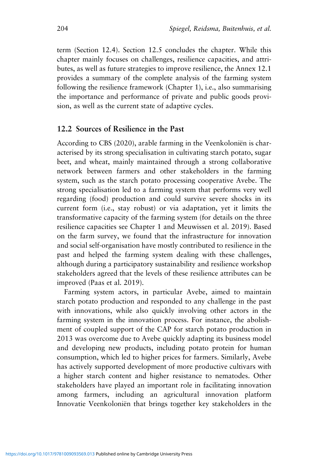term (Section 12.4). Section 12.5 concludes the chapter. While this chapter mainly focuses on challenges, resilience capacities, and attributes, as well as future strategies to improve resilience, the Annex 12.1 provides a summary of the complete analysis of the farming system following the resilience framework (Chapter 1), i.e., also summarising the importance and performance of private and public goods provision, as well as the current state of adaptive cycles.

## **12.2 Sources of Resilience in the Past**

According to CBS (2020), arable farming in the Veenkoloniën is characterised by its strong specialisation in cultivating starch potato, sugar beet, and wheat, mainly maintained through a strong collaborative network between farmers and other stakeholders in the farming system, such as the starch potato processing cooperative Avebe. The strong specialisation led to a farming system that performs very well regarding (food) production and could survive severe shocks in its current form (i.e., stay robust) or via adaptation, yet it limits the transformative capacity of the farming system (for details on the three resilience capacities see Chapter 1 and Meuwissen et al. 2019). Based on the farm survey, we found that the infrastructure for innovation and social self-organisation have mostly contributed to resilience in the past and helped the farming system dealing with these challenges, although during a participatory sustainability and resilience workshop stakeholders agreed that the levels of these resilience attributes can be improved (Paas et al. 2019).

Farming system actors, in particular Avebe, aimed to maintain starch potato production and responded to any challenge in the past with innovations, while also quickly involving other actors in the farming system in the innovation process. For instance, the abolishment of coupled support of the CAP for starch potato production in 2013 was overcome due to Avebe quickly adapting its business model and developing new products, including potato protein for human consumption, which led to higher prices for farmers. Similarly, Avebe has actively supported development of more productive cultivars with a higher starch content and higher resistance to nematodes. Other stakeholders have played an important role in facilitating innovation among farmers, including an agricultural innovation platform Innovatie Veenkoloniën that brings together key stakeholders in the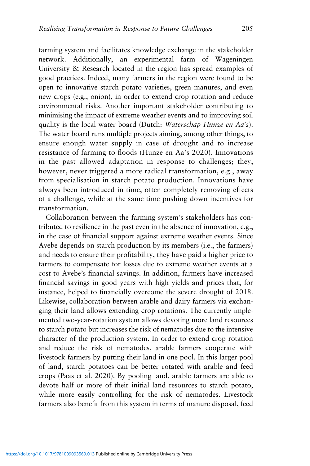farming system and facilitates knowledge exchange in the stakeholder network. Additionally, an experimental farm of Wageningen University & Research located in the region has spread examples of good practices. Indeed, many farmers in the region were found to be open to innovative starch potato varieties, green manures, and even new crops (e.g., onion), in order to extend crop rotation and reduce environmental risks. Another important stakeholder contributing to minimising the impact of extreme weather events and to improving soil quality is the local water board (Dutch: *Waterschap Hunze en Aa's*). The water board runs multiple projects aiming, among other things, to ensure enough water supply in case of drought and to increase resistance of farming to floods (Hunze en Aa's 2020). Innovations in the past allowed adaptation in response to challenges; they, however, never triggered a more radical transformation, e.g., away from specialisation in starch potato production. Innovations have always been introduced in time, often completely removing effects of a challenge, while at the same time pushing down incentives for transformation.

Collaboration between the farming system's stakeholders has contributed to resilience in the past even in the absence of innovation, e.g., in the case of financial support against extreme weather events. Since Avebe depends on starch production by its members (i.e., the farmers) and needs to ensure their profitability, they have paid a higher price to farmers to compensate for losses due to extreme weather events at a cost to Avebe's financial savings. In addition, farmers have increased financial savings in good years with high yields and prices that, for instance, helped to financially overcome the severe drought of 2018. Likewise, collaboration between arable and dairy farmers via exchanging their land allows extending crop rotations. The currently implemented two-year-rotation system allows devoting more land resources to starch potato but increases the risk of nematodes due to the intensive character of the production system. In order to extend crop rotation and reduce the risk of nematodes, arable farmers cooperate with livestock farmers by putting their land in one pool. In this larger pool of land, starch potatoes can be better rotated with arable and feed crops (Paas et al. 2020). By pooling land, arable farmers are able to devote half or more of their initial land resources to starch potato, while more easily controlling for the risk of nematodes. Livestock farmers also benefit from this system in terms of manure disposal, feed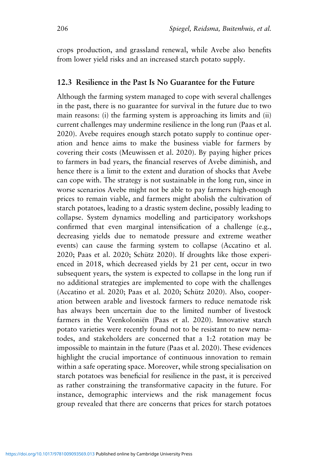crops production, and grassland renewal, while Avebe also benefits from lower yield risks and an increased starch potato supply.

#### **12.3 Resilience in the Past Is No Guarantee for the Future**

Although the farming system managed to cope with several challenges in the past, there is no guarantee for survival in the future due to two main reasons: (i) the farming system is approaching its limits and (ii) current challenges may undermine resilience in the long run (Paas et al. 2020). Avebe requires enough starch potato supply to continue operation and hence aims to make the business viable for farmers by covering their costs (Meuwissen et al. 2020). By paying higher prices to farmers in bad years, the financial reserves of Avebe diminish, and hence there is a limit to the extent and duration of shocks that Avebe can cope with. The strategy is not sustainable in the long run, since in worse scenarios Avebe might not be able to pay farmers high-enough prices to remain viable, and farmers might abolish the cultivation of starch potatoes, leading to a drastic system decline, possibly leading to collapse. System dynamics modelling and participatory workshops confirmed that even marginal intensification of a challenge (e.g., decreasing yields due to nematode pressure and extreme weather events) can cause the farming system to collapse (Accatino et al. 2020; Paas et al. 2020; Schütz 2020). If droughts like those experienced in 2018, which decreased yields by 21 per cent, occur in two subsequent years, the system is expected to collapse in the long run if no additional strategies are implemented to cope with the challenges (Accatino et al. 2020; Paas et al. 2020; Schütz 2020). Also, cooperation between arable and livestock farmers to reduce nematode risk has always been uncertain due to the limited number of livestock farmers in the Veenkoloniën (Paas et al. 2020). Innovative starch potato varieties were recently found not to be resistant to new nematodes, and stakeholders are concerned that a 1:2 rotation may be impossible to maintain in the future (Paas et al. 2020). These evidences highlight the crucial importance of continuous innovation to remain within a safe operating space. Moreover, while strong specialisation on starch potatoes was beneficial for resilience in the past, it is perceived as rather constraining the transformative capacity in the future. For instance, demographic interviews and the risk management focus group revealed that there are concerns that prices for starch potatoes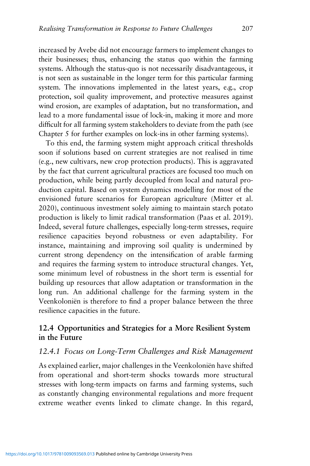increased by Avebe did not encourage farmers to implement changes to their businesses; thus, enhancing the status quo within the farming systems. Although the status-quo is not necessarily disadvantageous, it is not seen as sustainable in the longer term for this particular farming system. The innovations implemented in the latest years, e.g., crop protection, soil quality improvement, and protective measures against wind erosion, are examples of adaptation, but no transformation, and lead to a more fundamental issue of lock-in, making it more and more difficult for all farming system stakeholders to deviate from the path (see Chapter 5 for further examples on lock-ins in other farming systems).

To this end, the farming system might approach critical thresholds soon if solutions based on current strategies are not realised in time (e.g., new cultivars, new crop protection products). This is aggravated by the fact that current agricultural practices are focused too much on production, while being partly decoupled from local and natural production capital. Based on system dynamics modelling for most of the envisioned future scenarios for European agriculture (Mitter et al. 2020), continuous investment solely aiming to maintain starch potato production is likely to limit radical transformation (Paas et al. 2019). Indeed, several future challenges, especially long-term stresses, require resilience capacities beyond robustness or even adaptability. For instance, maintaining and improving soil quality is undermined by current strong dependency on the intensification of arable farming and requires the farming system to introduce structural changes. Yet, some minimum level of robustness in the short term is essential for building up resources that allow adaptation or transformation in the long run. An additional challenge for the farming system in the Veenkoloniën is therefore to find a proper balance between the three resilience capacities in the future.

## **12.4 Opportunities and Strategies for a More Resilient System in the Future**

#### *12.4.1 Focus on Long-Term Challenges and Risk Management*

As explained earlier, major challenges in the Veenkoloniën have shifted from operational and short-term shocks towards more structural stresses with long-term impacts on farms and farming systems, such as constantly changing environmental regulations and more frequent extreme weather events linked to climate change. In this regard,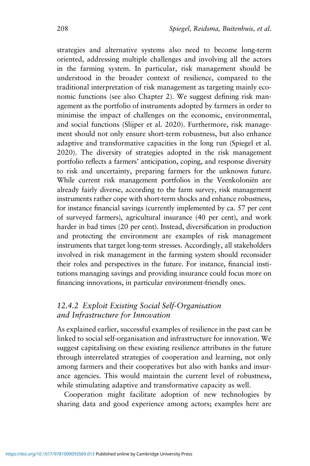strategies and alternative systems also need to become long-term oriented, addressing multiple challenges and involving all the actors in the farming system. In particular, risk management should be understood in the broader context of resilience, compared to the traditional interpretation of risk management as targeting mainly economic functions (see also Chapter 2). We suggest defining risk management as the portfolio of instruments adopted by farmers in order to minimise the impact of challenges on the economic, environmental, and social functions (Slijper et al. 2020). Furthermore, risk management should not only ensure short-term robustness, but also enhance adaptive and transformative capacities in the long run (Spiegel et al. 2020). The diversity of strategies adopted in the risk management portfolio reflects a farmers' anticipation, coping, and response diversity to risk and uncertainty, preparing farmers for the unknown future. While current risk management portfolios in the Veenkoloniën are already fairly diverse, according to the farm survey, risk management instruments rather cope with short-term shocks and enhance robustness, for instance financial savings (currently implemented by ca. 57 per cent of surveyed farmers), agricultural insurance (40 per cent), and work harder in bad times (20 per cent). Instead, diversification in production and protecting the environment are examples of risk management instruments that target long-term stresses. Accordingly, all stakeholders involved in risk management in the farming system should reconsider their roles and perspectives in the future. For instance, financial institutions managing savings and providing insurance could focus more on financing innovations, in particular environment-friendly ones.

## *12.4.2 Exploit Existing Social Self-Organisation and Infrastructure for Innovation*

As explained earlier, successful examples of resilience in the past can be linked to social self-organisation and infrastructure for innovation. We suggest capitalising on these existing resilience attributes in the future through interrelated strategies of cooperation and learning, not only among farmers and their cooperatives but also with banks and insurance agencies. This would maintain the current level of robustness, while stimulating adaptive and transformative capacity as well.

Cooperation might facilitate adoption of new technologies by sharing data and good experience among actors; examples here are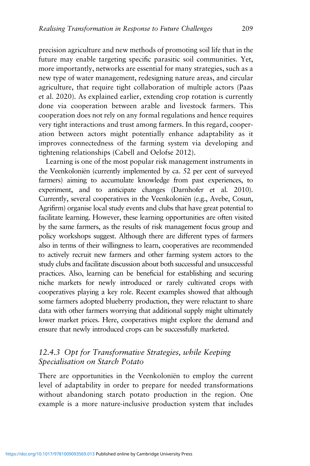precision agriculture and new methods of promoting soil life that in the future may enable targeting specific parasitic soil communities. Yet, more importantly, networks are essential for many strategies, such as a new type of water management, redesigning nature areas, and circular agriculture, that require tight collaboration of multiple actors (Paas et al. 2020). As explained earlier, extending crop rotation is currently done via cooperation between arable and livestock farmers. This cooperation does not rely on any formal regulations and hence requires very tight interactions and trust among farmers. In this regard, cooperation between actors might potentially enhance adaptability as it improves connectedness of the farming system via developing and tightening relationships (Cabell and Oelofse 2012).

Learning is one of the most popular risk management instruments in the Veenkoloniën (currently implemented by ca. 52 per cent of surveyed farmers) aiming to accumulate knowledge from past experiences, to experiment, and to anticipate changes (Darnhofer et al. 2010). Currently, several cooperatives in the Veenkoloniën (e.g., Avebe, Cosun, Agrifirm) organise local study events and clubs that have great potential to facilitate learning. However, these learning opportunities are often visited by the same farmers, as the results of risk management focus group and policy workshops suggest. Although there are different types of farmers also in terms of their willingness to learn, cooperatives are recommended to actively recruit new farmers and other farming system actors to the study clubs and facilitate discussion about both successful and unsuccessful practices. Also, learning can be beneficial for establishing and securing niche markets for newly introduced or rarely cultivated crops with cooperatives playing a key role. Recent examples showed that although some farmers adopted blueberry production, they were reluctant to share data with other farmers worrying that additional supply might ultimately lower market prices. Here, cooperatives might explore the demand and ensure that newly introduced crops can be successfully marketed.

## *12.4.3 Opt for Transformative Strategies, while Keeping Specialisation on Starch Potato*

There are opportunities in the Veenkoloniën to employ the current level of adaptability in order to prepare for needed transformations without abandoning starch potato production in the region. One example is a more nature-inclusive production system that includes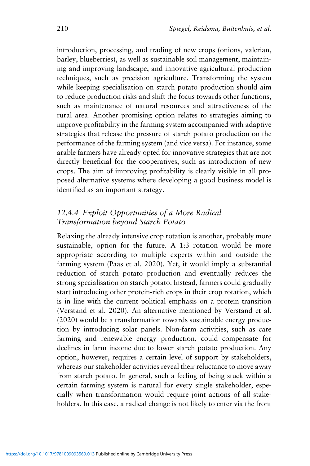introduction, processing, and trading of new crops (onions, valerian, barley, blueberries), as well as sustainable soil management, maintaining and improving landscape, and innovative agricultural production techniques, such as precision agriculture. Transforming the system while keeping specialisation on starch potato production should aim to reduce production risks and shift the focus towards other functions, such as maintenance of natural resources and attractiveness of the rural area. Another promising option relates to strategies aiming to improve profitability in the farming system accompanied with adaptive strategies that release the pressure of starch potato production on the performance of the farming system (and vice versa). For instance, some arable farmers have already opted for innovative strategies that are not directly beneficial for the cooperatives, such as introduction of new crops. The aim of improving profitability is clearly visible in all proposed alternative systems where developing a good business model is identified as an important strategy.

# *12.4.4 Exploit Opportunities of a More Radical Transformation beyond Starch Potato*

Relaxing the already intensive crop rotation is another, probably more sustainable, option for the future. A 1:3 rotation would be more appropriate according to multiple experts within and outside the farming system (Paas et al. 2020). Yet, it would imply a substantial reduction of starch potato production and eventually reduces the strong specialisation on starch potato. Instead, farmers could gradually start introducing other protein-rich crops in their crop rotation, which is in line with the current political emphasis on a protein transition (Verstand et al. 2020). An alternative mentioned by Verstand et al. (2020) would be a transformation towards sustainable energy production by introducing solar panels. Non-farm activities, such as care farming and renewable energy production, could compensate for declines in farm income due to lower starch potato production. Any option, however, requires a certain level of support by stakeholders, whereas our stakeholder activities reveal their reluctance to move away from starch potato. In general, such a feeling of being stuck within a certain farming system is natural for every single stakeholder, especially when transformation would require joint actions of all stakeholders. In this case, a radical change is not likely to enter via the front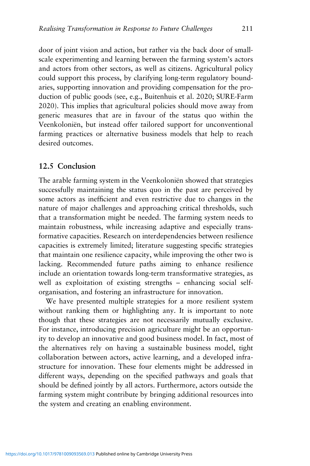door of joint vision and action, but rather via the back door of smallscale experimenting and learning between the farming system's actors and actors from other sectors, as well as citizens. Agricultural policy could support this process, by clarifying long-term regulatory boundaries, supporting innovation and providing compensation for the production of public goods (see, e.g., Buitenhuis et al. 2020; SURE-Farm 2020). This implies that agricultural policies should move away from generic measures that are in favour of the status quo within the Veenkoloniën, but instead offer tailored support for unconventional farming practices or alternative business models that help to reach desired outcomes.

#### **12.5 Conclusion**

The arable farming system in the Veenkoloniën showed that strategies successfully maintaining the status quo in the past are perceived by some actors as inefficient and even restrictive due to changes in the nature of major challenges and approaching critical thresholds, such that a transformation might be needed. The farming system needs to maintain robustness, while increasing adaptive and especially transformative capacities. Research on interdependencies between resilience capacities is extremely limited; literature suggesting specific strategies that maintain one resilience capacity, while improving the other two is lacking. Recommended future paths aiming to enhance resilience include an orientation towards long-term transformative strategies, as well as exploitation of existing strengths – enhancing social selforganisation, and fostering an infrastructure for innovation.

We have presented multiple strategies for a more resilient system without ranking them or highlighting any. It is important to note though that these strategies are not necessarily mutually exclusive. For instance, introducing precision agriculture might be an opportunity to develop an innovative and good business model. In fact, most of the alternatives rely on having a sustainable business model, tight collaboration between actors, active learning, and a developed infrastructure for innovation. These four elements might be addressed in different ways, depending on the specified pathways and goals that should be defined jointly by all actors. Furthermore, actors outside the farming system might contribute by bringing additional resources into the system and creating an enabling environment.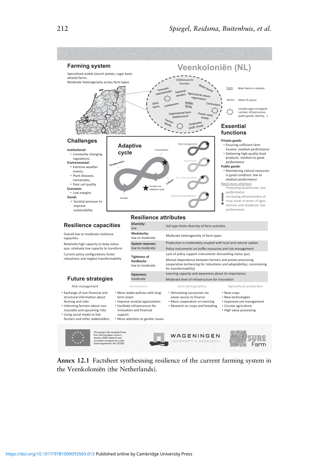

**Annex 12.1** Factsheet synthesising resilience of the current farming system in the Veenkoloniёn (the Netherlands).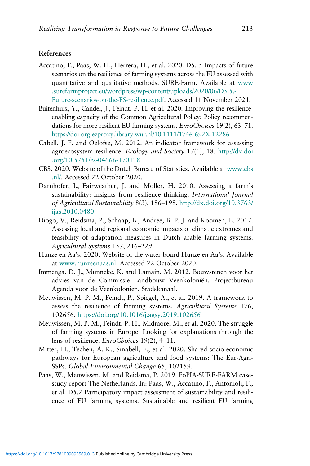#### **References**

- Accatino, F., Paas, W. H., Herrera, H., et al. 2020. D5. 5 Impacts of future scenarios on the resilience of farming systems across the EU assessed with quantitative and qualitative methods. SURE-Farm. Available at [www](https://www.surefarmproject.eu/wordpress/wp-content/uploads/2020/06/D5.5.-Future-scenarios-on-the-FS-resilience.pdf) [.surefarmproject.eu/wordpress/wp-content/uploads/2020/06/D5.5.-](https://www.surefarmproject.eu/wordpress/wp-content/uploads/2020/06/D5.5.-Future-scenarios-on-the-FS-resilience.pdf)
	- [Future-scenarios-on-the-FS-resilience.pdf.](https://www.surefarmproject.eu/wordpress/wp-content/uploads/2020/06/D5.5.-Future-scenarios-on-the-FS-resilience.pdf) Accessed 11 November 2021.
- Buitenhuis, Y., Candel, J., Feindt, P. H. et al. 2020. Improving the resilienceenabling capacity of the Common Agricultural Policy: Policy recommendations for more resilient EU farming systems. *EuroChoices* 19(2), 63–71. <https://doi-org.ezproxy.library.wur.nl/10.1111/1746-692X.12286>
- Cabell, J. F. and Oelofse, M. 2012. An indicator framework for assessing agroecosystem resilience. *Ecology and Society* 17(1), 18. [http://dx.doi](http://dx.doi.org/10.5751/es-04666-170118) [.org/10.5751/es-04666-170118](http://dx.doi.org/10.5751/es-04666-170118)
- CBS. 2020. Website of the Dutch Bureau of Statistics. Available at [www.cbs](https://www.cbs.nl/) [.nl/.](https://www.cbs.nl/) Accessed 22 October 2020.
- Darnhofer, I., Fairweather, J. and Moller, H. 2010. Assessing a farm's sustainability: Insights from resilience thinking. *International Journal of Agricultural Sustainability* 8(3), 186–198. [http://dx.doi.org/10.3763/](http://dx.doi.org/http://dx.doi.org/10.3763/ijas.2010.0480) [ijas.2010.0480](http://dx.doi.org/http://dx.doi.org/10.3763/ijas.2010.0480)
- Diogo, V., Reidsma, P., Schaap, B., Andree, B. P. J. and Koomen, E. 2017. Assessing local and regional economic impacts of climatic extremes and feasibility of adaptation measures in Dutch arable farming systems. *Agricultural Systems* 157, 216–229.
- Hunze en Aa's. 2020. Website of the water board Hunze en Aa's. Available at [www.hunzeenaas.nl.](https://www.hunzeenaas.nl) Accessed 22 October 2020.
- Immenga, D. J., Munneke, K. and Lamain, M. 2012. Bouwstenen voor het advies van de Commissie Landbouw Veenkoloniën. Projectbureau Agenda voor de Veenkoloniën, Stadskanaal.
- Meuwissen, M. P. M., Feindt, P., Spiegel, A., et al. 2019. A framework to assess the resilience of farming systems. *Agricultural Systems* 176, 102656. <https://doi.org/10.1016/j.agsy.2019.102656>
- Meuwissen, M. P. M., Feindt, P. H., Midmore, M., et al. 2020. The struggle of farming systems in Europe: Looking for explanations through the lens of resilience. *EuroChoices* 19(2), 4–11.
- Mitter, H., Techen, A. K., Sinabell, F., et al. 2020. Shared socio-economic pathways for European agriculture and food systems: The Eur-Agri-SSPs. *Global Environmental Change* 65, 102159.
- Paas, W., Meuwissen, M. and Reidsma, P. 2019. FoPIA-SURE-FARM casestudy report The Netherlands. In: Paas, W., Accatino, F., Antonioli, F., et al. D5.2 Participatory impact assessment of sustainability and resilience of EU farming systems. Sustainable and resilient EU farming